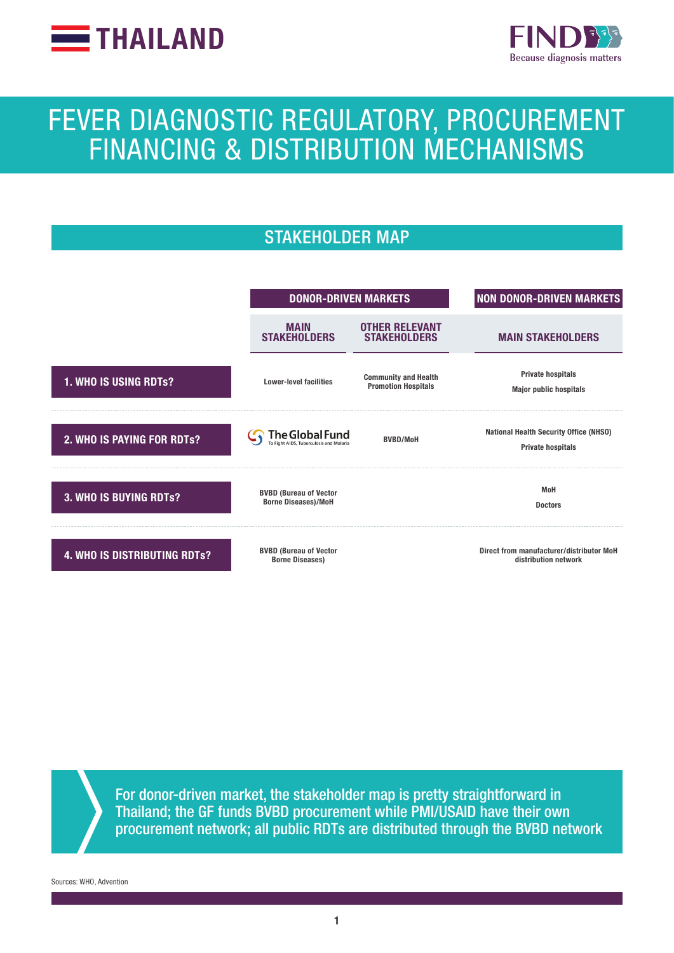



# FEVER DIAGNOSTIC REGULATORY, PROCUREMENT FINANCING & DISTRIBUTION MECHANISMS

# STAKEHOLDER MAP



For donor-driven market, the stakeholder map is pretty straightforward in Thailand; the GF funds BVBD procurement while PMI/USAID have their own procurement network; all public RDTs are distributed through the BVBD network

Sources: WHO, Advention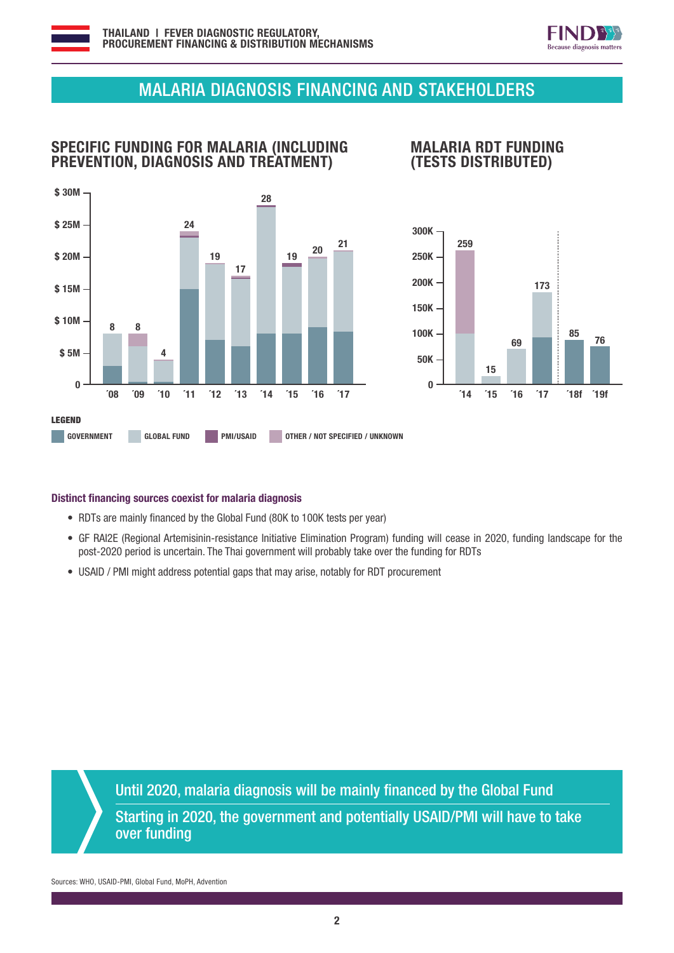



## MALARIA DIAGNOSIS FINANCING AND STAKEHOLDERS

## SPECIFIC FUNDING FOR MALARIA (INCLUDING PREVENTION, DIAGNOSIS AND TREATMENT)



#### MALARIA RDT FUNDING (TESTS DISTRIBUTED)



#### Distinct financing sources coexist for malaria diagnosis

- RDTs are mainly financed by the Global Fund (80K to 100K tests per year)
- GF RAI2E (Regional Artemisinin-resistance Initiative Elimination Program) funding will cease in 2020, funding landscape for the post-2020 period is uncertain. The Thai government will probably take over the funding for RDTs
- USAID / PMI might address potential gaps that may arise, notably for RDT procurement

Until 2020, malaria diagnosis will be mainly financed by the Global Fund Starting in 2020, the government and potentially USAID/PMI will have to take over funding

Sources: WHO, USAID-PMI, Global Fund, MoPH, Advention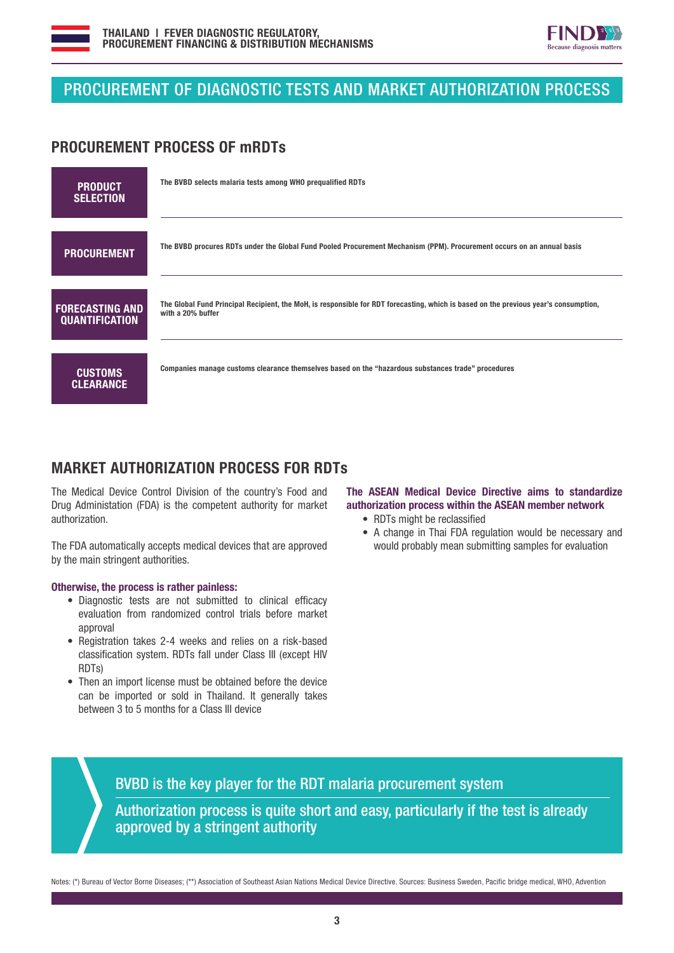



## PROCUREMENT OF DIAGNOSTIC TESTS AND MARKET AUTHORIZATION PROCESS

#### PROCUREMENT PROCESS OF mRDTs

| <b>PRODUCT</b><br><b>SELECTION</b>              | The BVBD selects malaria tests among WHO prequalified RDTs                                                                                                |
|-------------------------------------------------|-----------------------------------------------------------------------------------------------------------------------------------------------------------|
| <b>PROCUREMENT</b>                              | The BVBD procures RDTs under the Global Fund Pooled Procurement Mechanism (PPM). Procurement occurs on an annual basis                                    |
| <b>FORECASTING AND</b><br><b>QUANTIFICATION</b> | The Global Fund Principal Recipient, the MoH, is responsible for RDT forecasting, which is based on the previous year's consumption,<br>with a 20% buffer |
| <b>CUSTOMS</b><br><b>CLEARANCE</b>              | Companies manage customs clearance themselves based on the "hazardous substances trade" procedures                                                        |

## MARKET AUTHORIZATION PROCESS FOR RDTs

The Medical Device Control Division of the country's Food and Drug Administation (FDA) is the competent authority for market authorization.

The FDA automatically accepts medical devices that are approved by the main stringent authorities.

#### Otherwise, the process is rather painless:

- Diagnostic tests are not submitted to clinical efficacy evaluation from randomized control trials before market approval
- Registration takes 2-4 weeks and relies on a risk-based classification system. RDTs fall under Class III (except HIV RDTs)
- Then an import license must be obtained before the device can be imported or sold in Thailand. It generally takes between 3 to 5 months for a Class III device

#### The ASEAN Medical Device Directive aims to standardize authorization process within the ASEAN member network

- RDTs might be reclassified
- A change in Thai FDA regulation would be necessary and would probably mean submitting samples for evaluation

BVBD is the key player for the RDT malaria procurement system Authorization process is quite short and easy, particularly if the test is already approved by a stringent authority

Notes: (\*) Bureau of Vector Borne Diseases; (\*\*) Association of Southeast Asian Nations Medical Device Directive. Sources: Business Sweden, Pacific bridge medical, WHO, Advention